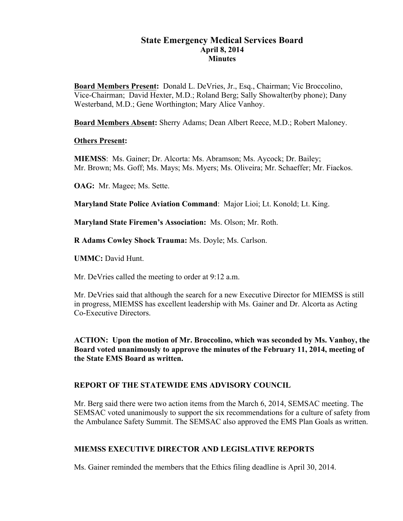# **State Emergency Medical Services Board April 8, 2014 Minutes**

**Board Members Present:** Donald L. DeVries, Jr., Esq., Chairman; Vic Broccolino, Vice-Chairman; David Hexter, M.D.; Roland Berg; Sally Showalter(by phone); Dany Westerband, M.D.; Gene Worthington; Mary Alice Vanhoy.

**Board Members Absent:** Sherry Adams; Dean Albert Reece, M.D.; Robert Maloney.

# **Others Present:**

**MIEMSS**: Ms. Gainer; Dr. Alcorta: Ms. Abramson; Ms. Aycock; Dr. Bailey; Mr. Brown; Ms. Goff; Ms. Mays; Ms. Myers; Ms. Oliveira; Mr. Schaeffer; Mr. Fiackos.

**OAG:** Mr. Magee; Ms. Sette.

**Maryland State Police Aviation Command**: Major Lioi; Lt. Konold; Lt. King.

**Maryland State Firemen's Association:** Ms. Olson; Mr. Roth.

**R Adams Cowley Shock Trauma:** Ms. Doyle; Ms. Carlson.

**UMMC:** David Hunt.

Mr. DeVries called the meeting to order at 9:12 a.m.

Mr. DeVries said that although the search for a new Executive Director for MIEMSS is still in progress, MIEMSS has excellent leadership with Ms. Gainer and Dr. Alcorta as Acting Co-Executive Directors.

**ACTION: Upon the motion of Mr. Broccolino, which was seconded by Ms. Vanhoy, the Board voted unanimously to approve the minutes of the February 11, 2014, meeting of the State EMS Board as written.**

# **REPORT OF THE STATEWIDE EMS ADVISORY COUNCIL**

Mr. Berg said there were two action items from the March 6, 2014, SEMSAC meeting. The SEMSAC voted unanimously to support the six recommendations for a culture of safety from the Ambulance Safety Summit. The SEMSAC also approved the EMS Plan Goals as written.

# **MIEMSS EXECUTIVE DIRECTOR AND LEGISLATIVE REPORTS**

Ms. Gainer reminded the members that the Ethics filing deadline is April 30, 2014.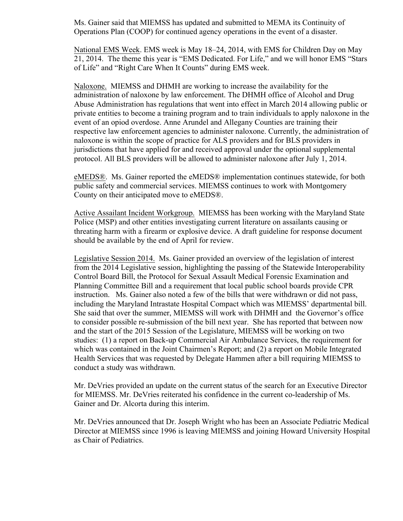Ms. Gainer said that MIEMSS has updated and submitted to MEMA its Continuity of Operations Plan (COOP) for continued agency operations in the event of a disaster.

National EMS Week. EMS week is May 18–24, 2014, with EMS for Children Day on May 21, 2014. The theme this year is "EMS Dedicated. For Life," and we will honor EMS "Stars of Life" and "Right Care When It Counts" during EMS week.

Naloxone. MIEMSS and DHMH are working to increase the availability for the administration of naloxone by law enforcement. The DHMH office of Alcohol and Drug Abuse Administration has regulations that went into effect in March 2014 allowing public or private entities to become a training program and to train individuals to apply naloxone in the event of an opiod overdose. Anne Arundel and Allegany Counties are training their respective law enforcement agencies to administer naloxone. Currently, the administration of naloxone is within the scope of practice for ALS providers and for BLS providers in jurisdictions that have applied for and received approval under the optional supplemental protocol. All BLS providers will be allowed to administer naloxone after July 1, 2014.

eMEDS®. Ms. Gainer reported the eMEDS® implementation continues statewide, for both public safety and commercial services. MIEMSS continues to work with Montgomery County on their anticipated move to eMEDS®.

Active Assailant Incident Workgroup. MIEMSS has been working with the Maryland State Police (MSP) and other entities investigating current literature on assailants causing or threating harm with a firearm or explosive device. A draft guideline for response document should be available by the end of April for review.

Legislative Session 2014. Ms. Gainer provided an overview of the legislation of interest from the 2014 Legislative session, highlighting the passing of the Statewide Interoperability Control Board Bill, the Protocol for Sexual Assault Medical Forensic Examination and Planning Committee Bill and a requirement that local public school boards provide CPR instruction. Ms. Gainer also noted a few of the bills that were withdrawn or did not pass, including the Maryland Intrastate Hospital Compact which was MIEMSS' departmental bill. She said that over the summer, MIEMSS will work with DHMH and the Governor's office to consider possible re-submission of the bill next year. She has reported that between now and the start of the 2015 Session of the Legislature, MIEMSS will be working on two studies: (1) a report on Back-up Commercial Air Ambulance Services, the requirement for which was contained in the Joint Chairmen's Report; and (2) a report on Mobile Integrated Health Services that was requested by Delegate Hammen after a bill requiring MIEMSS to conduct a study was withdrawn.

Mr. DeVries provided an update on the current status of the search for an Executive Director for MIEMSS. Mr. DeVries reiterated his confidence in the current co-leadership of Ms. Gainer and Dr. Alcorta during this interim.

Mr. DeVries announced that Dr. Joseph Wright who has been an Associate Pediatric Medical Director at MIEMSS since 1996 is leaving MIEMSS and joining Howard University Hospital as Chair of Pediatrics.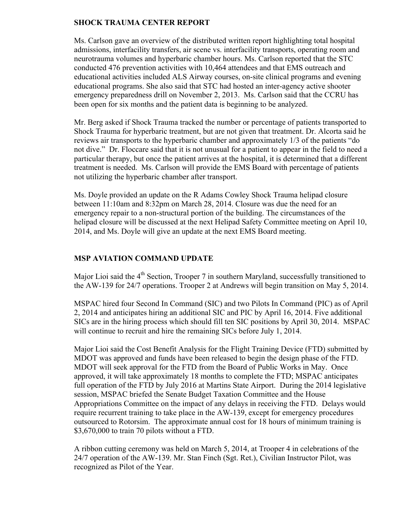### **SHOCK TRAUMA CENTER REPORT**

Ms. Carlson gave an overview of the distributed written report highlighting total hospital admissions, interfacility transfers, air scene vs. interfacility transports, operating room and neurotrauma volumes and hyperbaric chamber hours. Ms. Carlson reported that the STC conducted 476 prevention activities with 10,464 attendees and that EMS outreach and educational activities included ALS Airway courses, on-site clinical programs and evening educational programs. She also said that STC had hosted an inter-agency active shooter emergency preparedness drill on November 2, 2013. Ms. Carlson said that the CCRU has been open for six months and the patient data is beginning to be analyzed.

Mr. Berg asked if Shock Trauma tracked the number or percentage of patients transported to Shock Trauma for hyperbaric treatment, but are not given that treatment. Dr. Alcorta said he reviews air transports to the hyperbaric chamber and approximately 1/3 of the patients "do not dive." Dr. Floccare said that it is not unusual for a patient to appear in the field to need a particular therapy, but once the patient arrives at the hospital, it is determined that a different treatment is needed. Ms. Carlson will provide the EMS Board with percentage of patients not utilizing the hyperbaric chamber after transport.

Ms. Doyle provided an update on the R Adams Cowley Shock Trauma helipad closure between 11:10am and 8:32pm on March 28, 2014. Closure was due the need for an emergency repair to a non-structural portion of the building. The circumstances of the helipad closure will be discussed at the next Helipad Safety Committee meeting on April 10, 2014, and Ms. Doyle will give an update at the next EMS Board meeting.

#### **MSP AVIATION COMMAND UPDATE**

Major Lioi said the 4<sup>th</sup> Section, Trooper 7 in southern Maryland, successfully transitioned to the AW-139 for 24/7 operations. Trooper 2 at Andrews will begin transition on May 5, 2014.

MSPAC hired four Second In Command (SIC) and two Pilots In Command (PIC) as of April 2, 2014 and anticipates hiring an additional SIC and PIC by April 16, 2014. Five additional SICs are in the hiring process which should fill ten SIC positions by April 30, 2014. MSPAC will continue to recruit and hire the remaining SICs before July 1, 2014.

Major Lioi said the Cost Benefit Analysis for the Flight Training Device (FTD) submitted by MDOT was approved and funds have been released to begin the design phase of the FTD. MDOT will seek approval for the FTD from the Board of Public Works in May. Once approved, it will take approximately 18 months to complete the FTD; MSPAC anticipates full operation of the FTD by July 2016 at Martins State Airport. During the 2014 legislative session, MSPAC briefed the Senate Budget Taxation Committee and the House Appropriations Committee on the impact of any delays in receiving the FTD. Delays would require recurrent training to take place in the AW-139, except for emergency procedures outsourced to Rotorsim. The approximate annual cost for 18 hours of minimum training is \$3,670,000 to train 70 pilots without a FTD.

A ribbon cutting ceremony was held on March 5, 2014, at Trooper 4 in celebrations of the 24/7 operation of the AW-139. Mr. Stan Finch (Sgt. Ret.), Civilian Instructor Pilot, was recognized as Pilot of the Year.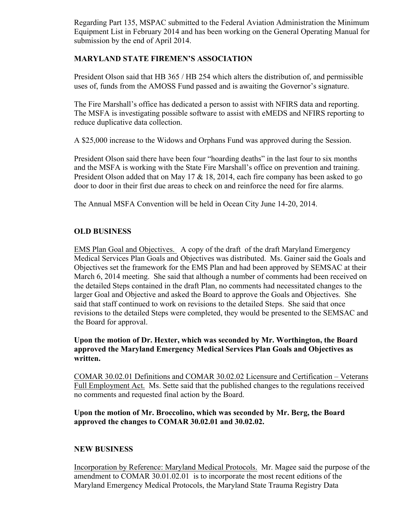Regarding Part 135, MSPAC submitted to the Federal Aviation Administration the Minimum Equipment List in February 2014 and has been working on the General Operating Manual for submission by the end of April 2014.

# **MARYLAND STATE FIREMEN'S ASSOCIATION**

President Olson said that HB 365 / HB 254 which alters the distribution of, and permissible uses of, funds from the AMOSS Fund passed and is awaiting the Governor's signature.

The Fire Marshall's office has dedicated a person to assist with NFIRS data and reporting. The MSFA is investigating possible software to assist with eMEDS and NFIRS reporting to reduce duplicative data collection.

A \$25,000 increase to the Widows and Orphans Fund was approved during the Session.

President Olson said there have been four "hoarding deaths" in the last four to six months and the MSFA is working with the State Fire Marshall's office on prevention and training. President Olson added that on May 17  $\&$  18, 2014, each fire company has been asked to go door to door in their first due areas to check on and reinforce the need for fire alarms.

The Annual MSFA Convention will be held in Ocean City June 14-20, 2014.

# **OLD BUSINESS**

EMS Plan Goal and Objectives. A copy of the draft of the draft Maryland Emergency Medical Services Plan Goals and Objectives was distributed. Ms. Gainer said the Goals and Objectives set the framework for the EMS Plan and had been approved by SEMSAC at their March 6, 2014 meeting. She said that although a number of comments had been received on the detailed Steps contained in the draft Plan, no comments had necessitated changes to the larger Goal and Objective and asked the Board to approve the Goals and Objectives. She said that staff continued to work on revisions to the detailed Steps. She said that once revisions to the detailed Steps were completed, they would be presented to the SEMSAC and the Board for approval.

**Upon the motion of Dr. Hexter, which was seconded by Mr. Worthington, the Board approved the Maryland Emergency Medical Services Plan Goals and Objectives as written.**

COMAR 30.02.01 Definitions and COMAR 30.02.02 Licensure and Certification – Veterans Full Employment Act. Ms. Sette said that the published changes to the regulations received no comments and requested final action by the Board.

**Upon the motion of Mr. Broccolino, which was seconded by Mr. Berg, the Board approved the changes to COMAR 30.02.01 and 30.02.02.**

# **NEW BUSINESS**

Incorporation by Reference: Maryland Medical Protocols. Mr. Magee said the purpose of the amendment to COMAR 30.01.02.01 is to incorporate the most recent editions of the Maryland Emergency Medical Protocols, the Maryland State Trauma Registry Data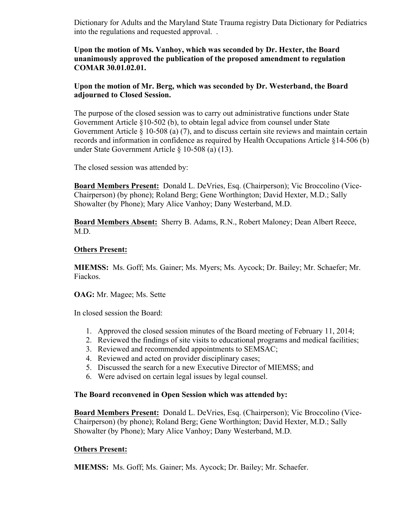Dictionary for Adults and the Maryland State Trauma registry Data Dictionary for Pediatrics into the regulations and requested approval. .

### **Upon the motion of Ms. Vanhoy, which was seconded by Dr. Hexter, the Board unanimously approved the publication of the proposed amendment to regulation COMAR 30.01.02.01.**

### **Upon the motion of Mr. Berg, which was seconded by Dr. Westerband, the Board adjourned to Closed Session.**

The purpose of the closed session was to carry out administrative functions under State Government Article §10-502 (b), to obtain legal advice from counsel under State Government Article § 10-508 (a) (7), and to discuss certain site reviews and maintain certain records and information in confidence as required by Health Occupations Article §14-506 (b) under State Government Article § 10-508 (a) (13).

The closed session was attended by:

**Board Members Present:** Donald L. DeVries, Esq. (Chairperson); Vic Broccolino (Vice-Chairperson) (by phone); Roland Berg; Gene Worthington; David Hexter, M.D.; Sally Showalter (by Phone); Mary Alice Vanhoy; Dany Westerband, M.D.

**Board Members Absent:** Sherry B. Adams, R.N., Robert Maloney; Dean Albert Reece, M.D.

#### **Others Present:**

**MIEMSS:** Ms. Goff; Ms. Gainer; Ms. Myers; Ms. Aycock; Dr. Bailey; Mr. Schaefer; Mr. Fiackos.

#### **OAG:** Mr. Magee; Ms. Sette

In closed session the Board:

- 1. Approved the closed session minutes of the Board meeting of February 11, 2014;
- 2. Reviewed the findings of site visits to educational programs and medical facilities;
- 3. Reviewed and recommended appointments to SEMSAC;
- 4. Reviewed and acted on provider disciplinary cases;
- 5. Discussed the search for a new Executive Director of MIEMSS; and
- 6. Were advised on certain legal issues by legal counsel.

#### **The Board reconvened in Open Session which was attended by:**

**Board Members Present:** Donald L. DeVries, Esq. (Chairperson); Vic Broccolino (Vice-Chairperson) (by phone); Roland Berg; Gene Worthington; David Hexter, M.D.; Sally Showalter (by Phone); Mary Alice Vanhoy; Dany Westerband, M.D.

# **Others Present:**

**MIEMSS:** Ms. Goff; Ms. Gainer; Ms. Aycock; Dr. Bailey; Mr. Schaefer.